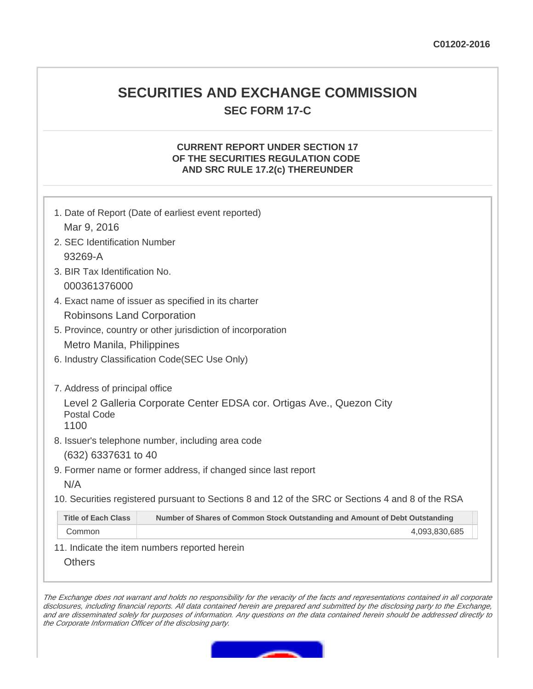# **SECURITIES AND EXCHANGE COMMISSION SEC FORM 17-C**

#### **CURRENT REPORT UNDER SECTION 17 OF THE SECURITIES REGULATION CODE AND SRC RULE 17.2(c) THEREUNDER**

|                                                             | 1. Date of Report (Date of earliest event reported)                                               |               |  |  |
|-------------------------------------------------------------|---------------------------------------------------------------------------------------------------|---------------|--|--|
| Mar 9, 2016                                                 |                                                                                                   |               |  |  |
| 2. SEC Identification Number                                |                                                                                                   |               |  |  |
| 93269-A                                                     |                                                                                                   |               |  |  |
| 3. BIR Tax Identification No.                               |                                                                                                   |               |  |  |
| 000361376000                                                |                                                                                                   |               |  |  |
| 4. Exact name of issuer as specified in its charter         |                                                                                                   |               |  |  |
| Robinsons Land Corporation                                  |                                                                                                   |               |  |  |
| 5. Province, country or other jurisdiction of incorporation |                                                                                                   |               |  |  |
| Metro Manila, Philippines                                   |                                                                                                   |               |  |  |
|                                                             | 6. Industry Classification Code(SEC Use Only)                                                     |               |  |  |
|                                                             |                                                                                                   |               |  |  |
| 7. Address of principal office                              |                                                                                                   |               |  |  |
|                                                             | Level 2 Galleria Corporate Center EDSA cor. Ortigas Ave., Quezon City                             |               |  |  |
| <b>Postal Code</b><br>1100                                  |                                                                                                   |               |  |  |
|                                                             | 8. Issuer's telephone number, including area code                                                 |               |  |  |
| (632) 6337631 to 40                                         |                                                                                                   |               |  |  |
|                                                             | 9. Former name or former address, if changed since last report                                    |               |  |  |
| N/A                                                         |                                                                                                   |               |  |  |
|                                                             | 10. Securities registered pursuant to Sections 8 and 12 of the SRC or Sections 4 and 8 of the RSA |               |  |  |
| <b>Title of Each Class</b>                                  | Number of Shares of Common Stock Outstanding and Amount of Debt Outstanding                       |               |  |  |
| Common                                                      |                                                                                                   | 4,093,830,685 |  |  |
|                                                             |                                                                                                   |               |  |  |

11. Indicate the item numbers reported herein

**Others** 

The Exchange does not warrant and holds no responsibility for the veracity of the facts and representations contained in all corporate disclosures, including financial reports. All data contained herein are prepared and submitted by the disclosing party to the Exchange, and are disseminated solely for purposes of information. Any questions on the data contained herein should be addressed directly to the Corporate Information Officer of the disclosing party.

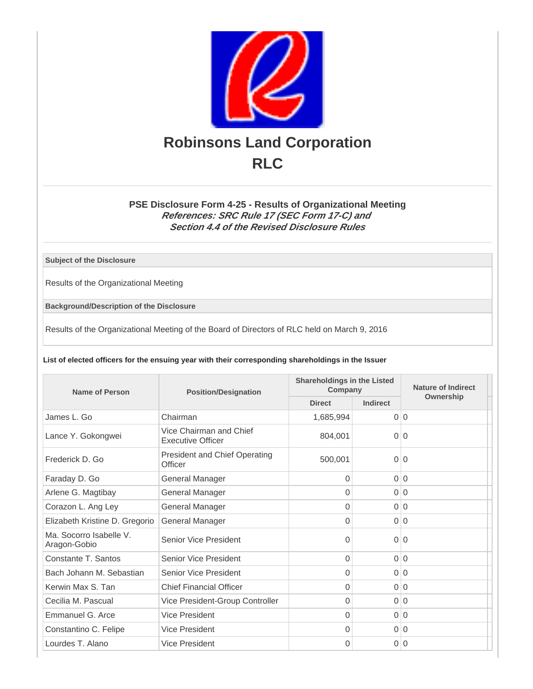

## **PSE Disclosure Form 4-25 - Results of Organizational Meeting References: SRC Rule 17 (SEC Form 17-C) and Section 4.4 of the Revised Disclosure Rules**

**Subject of the Disclosure**

Results of the Organizational Meeting

**Background/Description of the Disclosure**

Results of the Organizational Meeting of the Board of Directors of RLC held on March 9, 2016

**List of elected officers for the ensuing year with their corresponding shareholdings in the Issuer**

| Name of Person                          | <b>Position/Designation</b>                         | <b>Shareholdings in the Listed</b><br>Company |                | Nature of Indirect |
|-----------------------------------------|-----------------------------------------------------|-----------------------------------------------|----------------|--------------------|
|                                         |                                                     | <b>Direct</b>                                 | Indirect       | Ownership          |
| James L. Go                             | Chairman                                            | 1,685,994                                     | $\Omega$       | $\Omega$           |
| Lance Y. Gokongwei                      | Vice Chairman and Chief<br><b>Executive Officer</b> | 804.001                                       | $\Omega$       | $\Omega$           |
| Frederick D. Go                         | <b>President and Chief Operating</b><br>Officer     | 500,001                                       | $\overline{0}$ | $\overline{0}$     |
| Faraday D. Go                           | <b>General Manager</b>                              | $\Omega$                                      |                | 0 0                |
| Arlene G. Magtibay                      | General Manager                                     | $\Omega$                                      | $\Omega$       | $\Omega$           |
| Corazon L. Ang Ley                      | General Manager                                     | $\Omega$                                      | $\Omega$       | $\Omega$           |
| Elizabeth Kristine D. Gregorio          | General Manager                                     | 0                                             |                | 0 0                |
| Ma. Socorro Isabelle V.<br>Aragon-Gobio | Senior Vice President                               | $\Omega$                                      | $\Omega$       | $\Omega$           |
| Constante T. Santos                     | Senior Vice President                               | $\Omega$                                      |                | 0 0                |
| Bach Johann M. Sebastian                | Senior Vice President                               | 0                                             |                | 0 0                |
| Kerwin Max S. Tan                       | <b>Chief Financial Officer</b>                      | $\overline{0}$                                |                | 0 0                |
| Cecilia M. Pascual                      | Vice President-Group Controller                     | 0                                             | $\overline{0}$ | $\mathbf 0$        |
| Emmanuel G. Arce                        | <b>Vice President</b>                               | $\Omega$                                      | $\Omega$       | $\Omega$           |
| Constantino C. Felipe                   | Vice President                                      | $\Omega$                                      |                | 0 0                |
| Lourdes T. Alano                        | Vice President                                      | $\Omega$                                      | $\overline{0}$ | $\Omega$           |